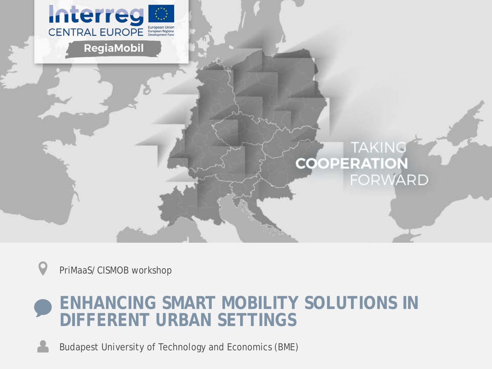

PriMaaS/CISMOB workshop

### **ENHANCING SMART MOBILITY SOLUTIONS IN DIFFERENT URBAN SETTINGS**

Budapest University of Technology and Economics (BME)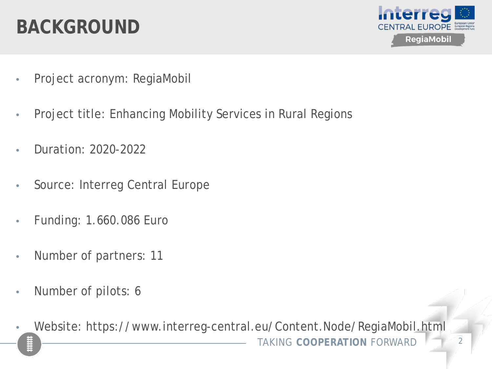### **BACKGROUND**



- Project acronym: RegiaMobil
- Project title: Enhancing Mobility Services in Rural Regions
- Duration: 2020-2022
- Source: Interreg Central Europe
- Funding: 1.660.086 Euro
- Number of partners: 11
- Number of pilots: 6
- **TAKING COOPERATION FORWARD** • Website: https://www.interreg-central.eu/Content.Node/RegiaMobil.html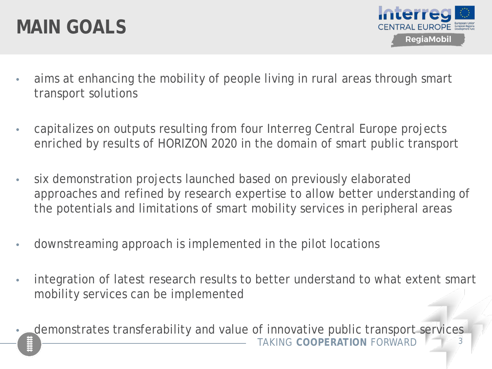### **MAIN GOALS**



- aims at enhancing the mobility of people living in rural areas through smart transport solutions
- capitalizes on outputs resulting from four Interreg Central Europe projects enriched by results of HORIZON 2020 in the domain of smart public transport
- six demonstration projects launched based on previously elaborated approaches and refined by research expertise to allow better understanding of the potentials and limitations of smart mobility services in peripheral areas
- downstreaming approach is implemented in the pilot locations
- integration of latest research results to better understand to what extent smart mobility services can be implemented
- TAKING COOPFRATION FORWARD demonstrates transferability and value of innovative public transport services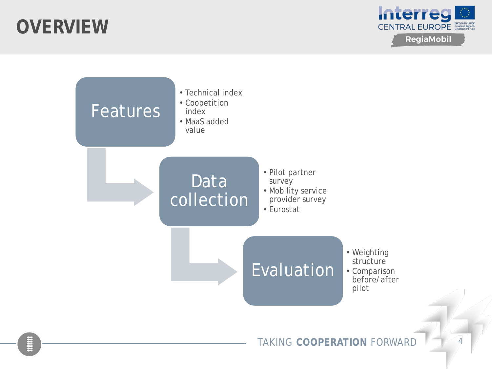### **OVERVIEW**



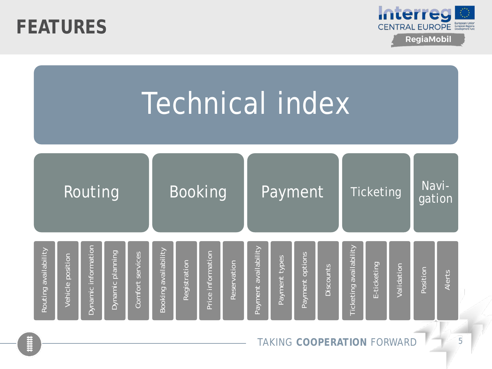



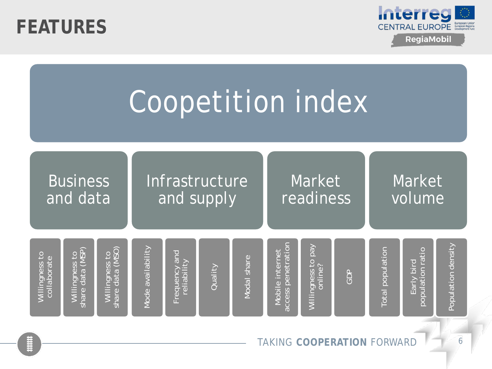



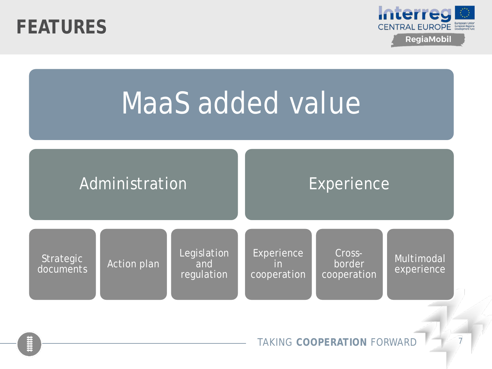



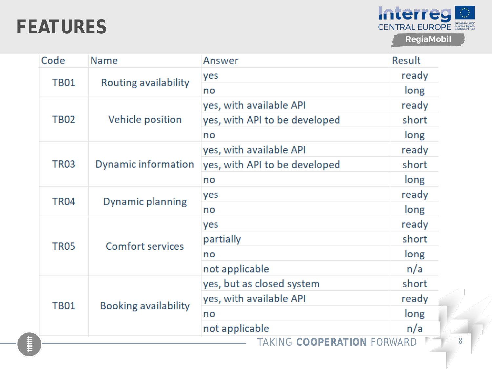### **FEATURES**



| Code             | <b>Name</b>                 | Answer                            | Result |
|------------------|-----------------------------|-----------------------------------|--------|
| <b>TB01</b>      |                             | yes                               | ready  |
|                  | Routing availability        | no                                | long   |
| <b>TB02</b>      | Vehicle position            | yes, with available API           | ready  |
|                  |                             | yes, with API to be developed     | short  |
|                  |                             | no                                | long   |
| TR <sub>03</sub> | Dynamic information         | yes, with available API           | ready  |
|                  |                             | yes, with API to be developed     | short  |
|                  |                             | no                                | long   |
| TR <sub>04</sub> | Dynamic planning            | yes                               | ready  |
|                  |                             | no                                | long   |
| TR <sub>05</sub> | <b>Comfort services</b>     | yes                               | ready  |
|                  |                             | partially                         | short  |
|                  |                             | no                                | long   |
|                  |                             | not applicable                    | n/a    |
| <b>TB01</b>      | <b>Booking availability</b> | yes, but as closed system         | short  |
|                  |                             | yes, with available API           | ready  |
|                  |                             | no                                | long   |
|                  |                             | not applicable                    | n/a    |
|                  |                             | <b>TAKING COOPERATION FORWARD</b> |        |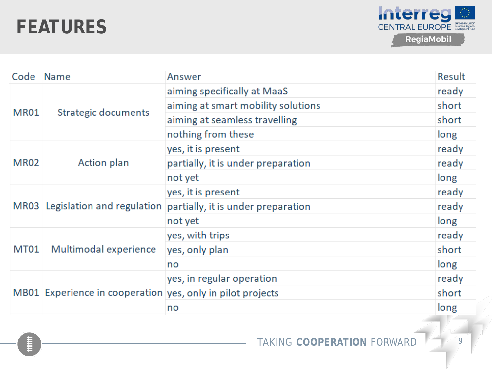### **FEATURES**



| Code | Name                                                       | Answer                                                             | Result |
|------|------------------------------------------------------------|--------------------------------------------------------------------|--------|
| MR01 |                                                            | aiming specifically at MaaS                                        | ready  |
|      | Strategic documents                                        | aiming at smart mobility solutions                                 | short  |
|      |                                                            | aiming at seamless travelling                                      | short  |
|      |                                                            | nothing from these                                                 | long   |
| MR02 | Action plan                                                | yes, it is present                                                 | ready  |
|      |                                                            | partially, it is under preparation                                 | ready  |
|      |                                                            | not yet                                                            | long   |
|      |                                                            | yes, it is present                                                 | ready  |
|      |                                                            | MR03 Legislation and regulation partially, it is under preparation | ready  |
|      |                                                            | not yet                                                            | long   |
| MT01 | Multimodal experience                                      | yes, with trips                                                    | ready  |
|      |                                                            | yes, only plan                                                     | short  |
|      |                                                            | no                                                                 | long   |
|      | MB01 Experience in cooperation yes, only in pilot projects | yes, in regular operation                                          | ready  |
|      |                                                            |                                                                    | short  |
|      |                                                            | no                                                                 | long   |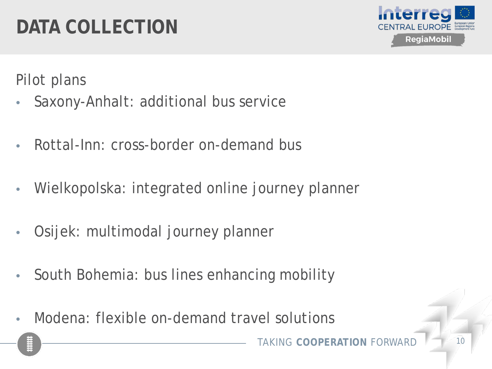# **DATA COLLECTION**



Pilot plans

- Saxony-Anhalt: additional bus service
- Rottal-Inn: cross-border on-demand bus
- Wielkopolska: integrated online journey planner
- Osijek: multimodal journey planner
- South Bohemia: bus lines enhancing mobility
- Modena: flexible on-demand travel solutions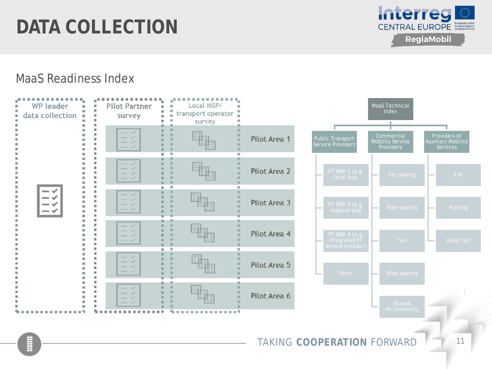## **DATA COLLECTION**



#### MaaS Readiness Index

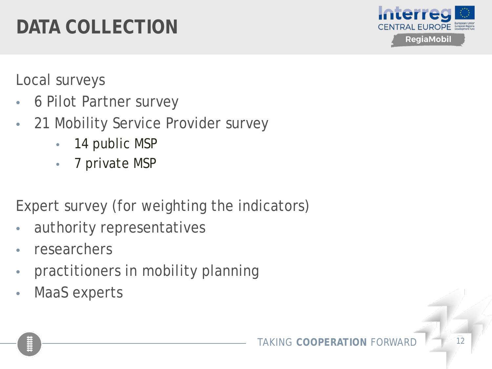# **DATA COLLECTION**



Local surveys

- 6 Pilot Partner survey
- 21 Mobility Service Provider survey
	- 14 public MSP
	- 7 private MSP

Expert survey (for weighting the indicators)

- authority representatives
- researchers
- practitioners in mobility planning
- MaaS experts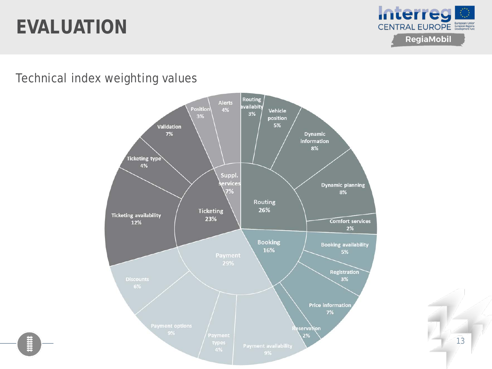

Technical index weighting values



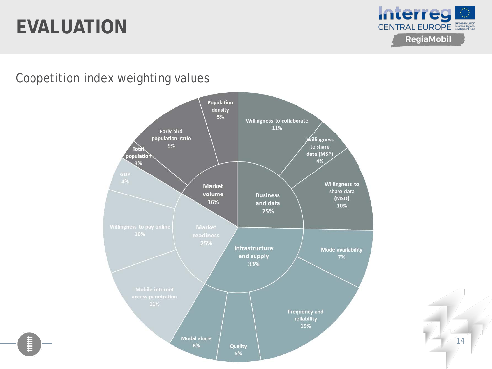

Coopetition index weighting values



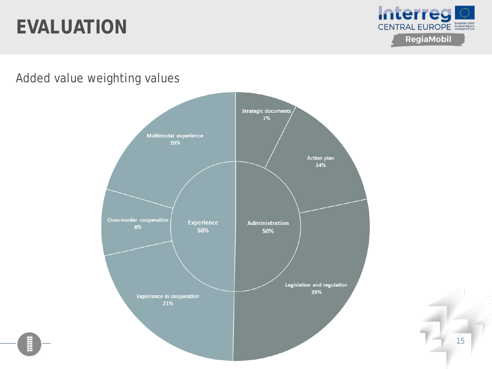

Added value weighting values

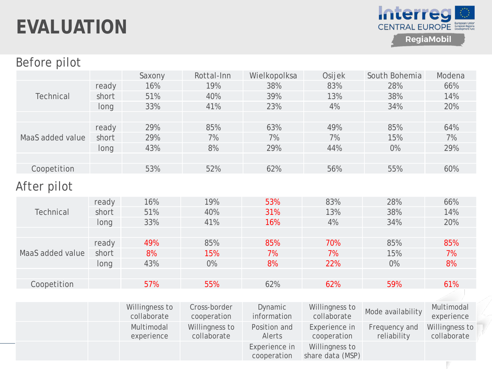

#### Before pilot

|                  |       | Saxony         | Rottal-Inn     | Wielkopolksa                 | Osijek                             | South Bohemia     | Modena         |
|------------------|-------|----------------|----------------|------------------------------|------------------------------------|-------------------|----------------|
|                  | ready | 16%            | 19%            | 38%                          | 83%                                | 28%               | 66%            |
| <b>Technical</b> | short | 51%            | 40%            | 39%                          | 13%                                | 38%               | 14%            |
|                  | long  | 33%            | 41%            | 23%                          | 4%                                 | 34%               | 20%            |
|                  |       |                |                |                              |                                    |                   |                |
|                  | ready | 29%            | 85%            | 63%                          | 49%                                | 85%               | 64%            |
| MaaS added value | short | 29%            | 7%             | 7%                           | 7%                                 | 15%               | 7%             |
|                  | long  | 43%            | 8%             | 29%                          | 44%                                | $0\%$             | 29%            |
|                  |       |                |                |                              |                                    |                   |                |
| Coopetition      |       | 53%            | 52%            | 62%                          | 56%                                | 55%               | 60%            |
|                  |       |                |                |                              |                                    |                   |                |
| After pilot      |       |                |                |                              |                                    |                   |                |
|                  | ready | 16%            | 19%            | 53%                          | 83%                                | 28%               | 66%            |
| <b>Technical</b> | short | 51%            | 40%            | 31%                          | 13%                                | 38%               | 14%            |
|                  | long  | 33%            | 41%            | 16%                          | 4%                                 | 34%               | 20%            |
|                  |       |                |                |                              |                                    |                   |                |
|                  | ready | 49%            | 85%            | 85%                          | 70%                                | 85%               | 85%            |
| MaaS added value | short | 8%             | 15%            | 7%                           | 7%                                 | 15%               | 7%             |
|                  | long  | 43%            | $0\%$          | 8%                           | 22%                                | 0%                | 8%             |
|                  |       |                |                |                              |                                    |                   |                |
| Coopetition      |       | 57%            | 55%            | 62%                          | 62%                                | 59%               | 61%            |
|                  |       |                |                |                              |                                    |                   |                |
|                  |       | Willingness to | Cross-border   | Dynamic                      | Willingness to                     |                   | Multimodal     |
|                  |       | collaborate    | cooperation    | information                  | collaborate                        | Mode availability | experience     |
|                  |       | Multimodal     | Willingness to | Position and                 | Experience in                      | Frequency and     | Willingness to |
|                  |       | experience     | collaborate    | Alerts                       | cooperation                        | reliability       | collaborate    |
|                  |       |                |                | Experience in<br>cooperation | Willingness to<br>share data (MSP) |                   |                |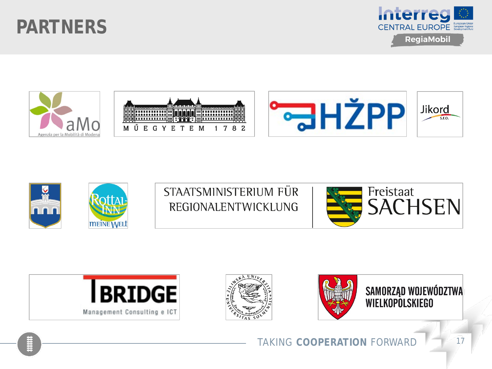